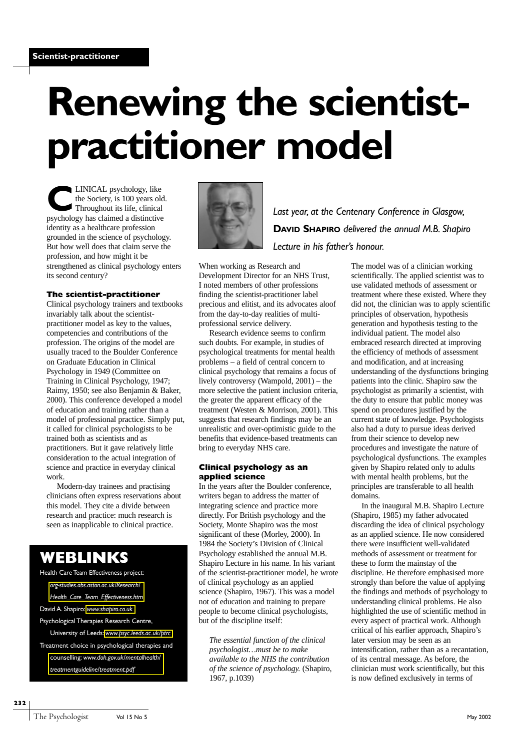# **Renewing the scientistpractitioner model**

**CLINICAL** psychology, like<br>the Society, is 100 years old<br>Throughout its life, clinical<br>newchology has claimed a distinctive the Society, is 100 years old. Throughout its life, clinical psychology has claimed a distinctive identity as a healthcare profession grounded in the science of psychology. But how well does that claim serve the profession, and how might it be strengthened as clinical psychology enters its second century?

#### **The scientist-practitioner**

Clinical psychology trainers and textbooks invariably talk about the scientistpractitioner model as key to the values, competencies and contributions of the profession. The origins of the model are usually traced to the Boulder Conference on Graduate Education in Clinical Psychology in 1949 (Committee on Training in Clinical Psychology, 1947; Raimy, 1950; see also Benjamin & Baker, 2000). This conference developed a model of education and training rather than a model of professional practice. Simply put, it called for clinical psychologists to be trained both as scientists and as practitioners. But it gave relatively little consideration to the actual integration of science and practice in everyday clinical work.

Modern-day trainees and practising clinicians often express reservations about this model. They cite a divide between research and practice: much research is seen as inapplicable to clinical practice.

## **WEBLINKS**

Health Care Team Effectiveness project: *org-studies.abs.aston.ac.uk/Research/*

*[Health\\_Care\\_Team\\_Effectiveness.htm](org-studies.abs.aston.ac.uk/Research/Health_Care_Team_Effectiveness.htm)*

David A. Shapiro: *<www.shapiro.co.uk>*

Psychological Therapies Research Centre,

University of Leeds: *<www.psyc.leeds.ac.uk/ptrc>* Treatment choice in psychological therapies and counselling: *www.doh.gov.uk/mentalhealth/ [treatmentguideline/treatment.pdf](www.doh.gov.uk/mentalhealth/treatmentguideline/treatment.pdf)*



*Last year, at the Centenary Conference in Glasgow,* **DAVID SHAPIRO** *delivered the annual M.B. Shapiro Lecture in his father's honour.*

When working as Research and Development Director for an NHS Trust, I noted members of other professions finding the scientist-practitioner label precious and elitist, and its advocates aloof from the day-to-day realities of multiprofessional service delivery.

Research evidence seems to confirm such doubts. For example, in studies of psychological treatments for mental health problems – a field of central concern to clinical psychology that remains a focus of lively controversy (Wampold, 2001) – the more selective the patient inclusion criteria, the greater the apparent efficacy of the treatment (Westen & Morrison, 2001). This suggests that research findings may be an unrealistic and over-optimistic guide to the benefits that evidence-based treatments can bring to everyday NHS care.

#### **Clinical psychology as an applied science**

In the years after the Boulder conference, writers began to address the matter of integrating science and practice more directly. For British psychology and the Society, Monte Shapiro was the most significant of these (Morley, 2000). In 1984 the Society's Division of Clinical Psychology established the annual M.B. Shapiro Lecture in his name. In his variant of the scientist-practitioner model, he wrote of clinical psychology as an applied science (Shapiro, 1967). This was a model not of education and training to prepare people to become clinical psychologists, but of the discipline itself:

*The essential function of the clinical psychologist…must be to make available to the NHS the contribution of the science of psychology.* (Shapiro, 1967, p.1039)

The model was of a clinician working scientifically. The applied scientist was to use validated methods of assessment or treatment where these existed. Where they did not, the clinician was to apply scientific principles of observation, hypothesis generation and hypothesis testing to the individual patient. The model also embraced research directed at improving the efficiency of methods of assessment and modification, and at increasing understanding of the dysfunctions bringing patients into the clinic. Shapiro saw the psychologist as primarily a scientist, with the duty to ensure that public money was spend on procedures justified by the current state of knowledge. Psychologists also had a duty to pursue ideas derived from their science to develop new procedures and investigate the nature of psychological dysfunctions. The examples given by Shapiro related only to adults with mental health problems, but the principles are transferable to all health domains.

In the inaugural M.B. Shapiro Lecture (Shapiro, 1985) my father advocated discarding the idea of clinical psychology as an applied science. He now considered there were insufficient well-validated methods of assessment or treatment for these to form the mainstay of the discipline. He therefore emphasised more strongly than before the value of applying the findings and methods of psychology to understanding clinical problems. He also highlighted the use of scientific method in every aspect of practical work. Although critical of his earlier approach, Shapiro's later version may be seen as an intensification, rather than as a recantation, of its central message. As before, the clinician must work scientifically, but this is now defined exclusively in terms of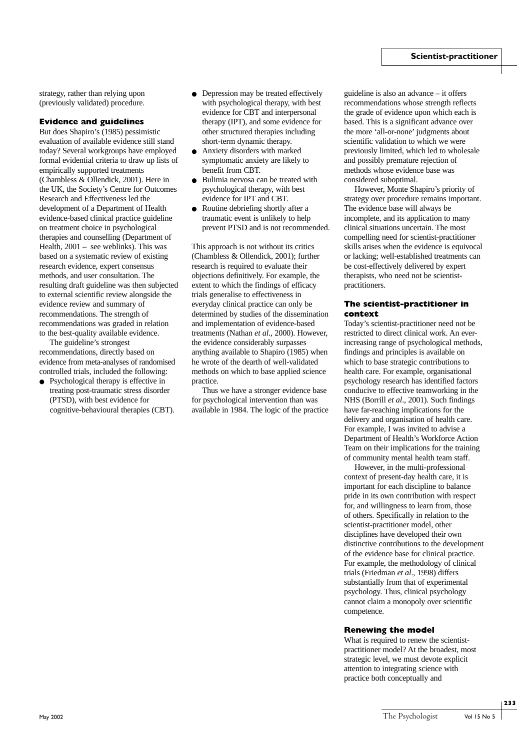strategy, rather than relying upon (previously validated) procedure.

#### **Evidence and guidelines**

But does Shapiro's (1985) pessimistic evaluation of available evidence still stand today? Several workgroups have employed formal evidential criteria to draw up lists of empirically supported treatments (Chambless & Ollendick, 2001). Here in the UK, the Society's Centre for Outcomes Research and Effectiveness led the development of a Department of Health evidence-based clinical practice guideline on treatment choice in psychological therapies and counselling (Department of Health, 2001 – see weblinks). This was based on a systematic review of existing research evidence, expert consensus methods, and user consultation. The resulting draft guideline was then subjected to external scientific review alongside the evidence review and summary of recommendations. The strength of recommendations was graded in relation to the best-quality available evidence.

The guideline's strongest recommendations, directly based on evidence from meta-analyses of randomised controlled trials, included the following:

● Psychological therapy is effective in treating post-traumatic stress disorder (PTSD), with best evidence for cognitive-behavioural therapies (CBT).

- Depression may be treated effectively with psychological therapy, with best evidence for CBT and interpersonal therapy (IPT), and some evidence for other structured therapies including short-term dynamic therapy.
- Anxiety disorders with marked symptomatic anxiety are likely to benefit from CBT.
- Bulimia nervosa can be treated with psychological therapy, with best evidence for IPT and CBT.
- Routine debriefing shortly after a traumatic event is unlikely to help prevent PTSD and is not recommended.

This approach is not without its critics (Chambless & Ollendick, 2001); further research is required to evaluate their objections definitively. For example, the extent to which the findings of efficacy trials generalise to effectiveness in everyday clinical practice can only be determined by studies of the dissemination and implementation of evidence-based treatments (Nathan *et al.*, 2000). However, the evidence considerably surpasses anything available to Shapiro (1985) when he wrote of the dearth of well-validated methods on which to base applied science practice.

Thus we have a stronger evidence base for psychological intervention than was available in 1984. The logic of the practice

guideline is also an advance – it offers recommendations whose strength reflects the grade of evidence upon which each is based. This is a significant advance over the more 'all-or-none' judgments about scientific validation to which we were previously limited, which led to wholesale and possibly premature rejection of methods whose evidence base was considered suboptimal.

However, Monte Shapiro's priority of strategy over procedure remains important. The evidence base will always be incomplete, and its application to many clinical situations uncertain. The most compelling need for scientist-practitioner skills arises when the evidence is equivocal or lacking; well-established treatments can be cost-effectively delivered by expert therapists, who need not be scientistpractitioners.

#### **The scientist-practitioner in context**

Today's scientist-practitioner need not be restricted to direct clinical work. An everincreasing range of psychological methods, findings and principles is available on which to base strategic contributions to health care. For example, organisational psychology research has identified factors conducive to effective teamworking in the NHS (Borrill *et al*., 2001). Such findings have far-reaching implications for the delivery and organisation of health care. For example, I was invited to advise a Department of Health's Workforce Action Team on their implications for the training of community mental health team staff.

However, in the multi-professional context of present-day health care, it is important for each discipline to balance pride in its own contribution with respect for, and willingness to learn from, those of others. Specifically in relation to the scientist-practitioner model, other disciplines have developed their own distinctive contributions to the development of the evidence base for clinical practice. For example, the methodology of clinical trials (Friedman *et al*., 1998) differs substantially from that of experimental psychology. Thus, clinical psychology cannot claim a monopoly over scientific competence.

#### **Renewing the model**

What is required to renew the scientistpractitioner model? At the broadest, most strategic level, we must devote explicit attention to integrating science with practice both conceptually and

**233**